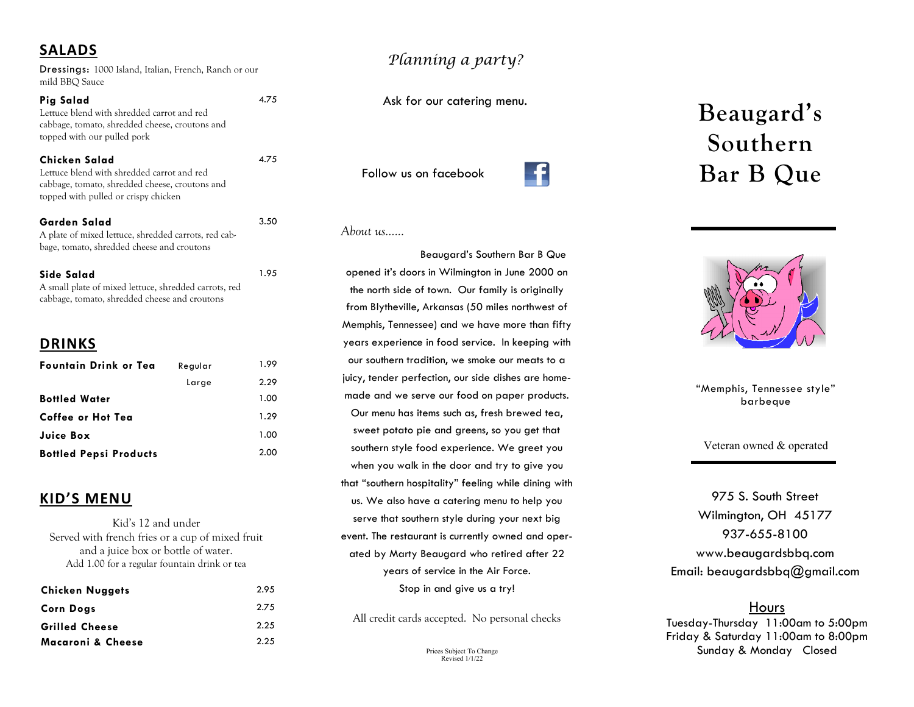# **SALADS**

Dressings: 1000 Island, Italian, French, Ranch or our mild BBQ Sauce

4.75

4.75

3.50

1.95

#### **Pig Salad** Lettuce blend with shredded carrot and red cabbage, tomato, shredded cheese, croutons and topped with our pulled pork

**Chicken Salad** Lettuce blend with shredded carrot and red cabbage, tomato, shredded cheese, croutons and topped with pulled or crispy chicken

#### **Garden Salad**

A plate of mixed lettuce, shredded carrots, red cabbage, tomato, shredded cheese and croutons

**Side Salad** A small plate of mixed lettuce, shredded carrots, red cabbage, tomato, shredded cheese and croutons

## **DRINKS**

| <b>Fountain Drink or Tea</b>  | Regular | 1.99 |
|-------------------------------|---------|------|
|                               | Large   | 2.29 |
| <b>Bottled Water</b>          |         | 1.00 |
| Coffee or Hot Tea             |         | 1.29 |
| Juice Box                     |         | 1.00 |
| <b>Bottled Pepsi Products</b> |         | 2.00 |

## **KID'S MENU**

Kid's 12 and under Served with french fries or a cup of mixed fruit and a juice box or bottle of water. Add 1.00 for a regular fountain drink or tea

| <b>Chicken Nuggets</b> | 2.95 |
|------------------------|------|
| <b>Corn Dogs</b>       | 2.75 |
| <b>Grilled Cheese</b>  | 2.25 |
| Macaroni & Cheese      | 2.25 |

# *Planning a party?*

Ask for our catering menu.

Follow us on facebook



#### *About us…...*

Beaugard's Southern Bar B Que opened it's doors in Wilmington in June 2000 on the north side of town. Our family is originally from Blytheville, Arkansas (50 miles northwest of Memphis, Tennessee) and we have more than fifty years experience in food service. In keeping with our southern tradition, we smoke our meats to a juicy, tender perfection, our side dishes are homemade and we serve our food on paper products. Our menu has items such as, fresh brewed tea, sweet potato pie and greens, so you get that southern style food experience. We greet you when you walk in the door and try to give you that "southern hospitality" feeling while dining with us. We also have a catering menu to help you serve that southern style during your next big event. The restaurant is currently owned and operated by Marty Beaugard who retired after 22 years of service in the Air Force. Stop in and give us a try!

All credit cards accepted. No personal checks

Prices Subject To Change Revised 1/1/22

# **Beaugard's Southern Bar B Que**



"Memphis, Tennessee style" barbeque

Veteran owned & operated

975 S. South Street Wilmington, OH 45177 937-655-8100 www.beaugardsbbq.com Email: beaugardsbbq@gmail.com

### Hours

Tuesday-Thursday 11:00am to 5:00pm Friday & Saturday 11:00am to 8:00pm Sunday & Monday Closed